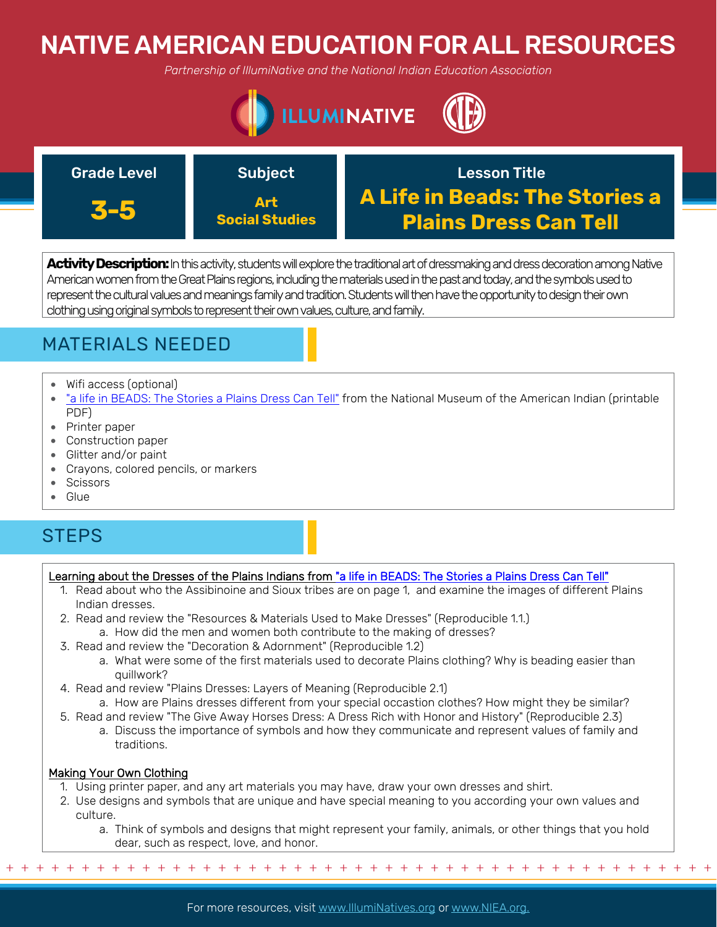# NATIVE AMERICAN EDUCATION FOR ALL RESOURCES

*Partnership of IllumiNative and the National Indian Education Association*





**Activity Description:** In this activity, students will explore the traditional art of dressmaking and dress decoration among Native American women from the Great Plains regions, including the materials used in the past and today, and the symbols used to represent the cultural values and meanings family and tradition. Students will then have the opportunity to design their own clothing using original symbols to represent their own values, culture, and family.

## MATERIALS NEEDED

- Wifi access (optional)
- ["a life in BEADS: The Stories a Plains Dress Can Tell"](https://americanindian.si.edu/sites/1/files/pdf/education/NMAI_lifeinbeads.pdf) from the National Museum of the American Indian (printable PDF)
- Printer paper
- Construction paper
- Glitter and/or paint
- Crayons, colored pencils, or markers
- Scissors
- Glue

## **STEPS**

### Learning about the Dresses of the Plains Indians from ["a life in BEADS: The Stories a Plains Dress Can Tell"](https://americanindian.si.edu/sites/1/files/pdf/education/NMAI_lifeinbeads.pdf)

- 1. Read about who the Assibinoine and Sioux tribes are on page 1, and examine the images of different Plains Indian dresses.
- 2. Read and review the "Resources & Materials Used to Make Dresses" (Reproducible 1.1.) a. How did the men and women both contribute to the making of dresses?
- 3. Read and review the "Decoration & Adornment" (Reproducible 1.2)
	- a. What were some of the first materials used to decorate Plains clothing? Why is beading easier than quillwork?
- 4. Read and review "Plains Dresses: Layers of Meaning (Reproducible 2.1)
	- a. How are Plains dresses different from your special occastion clothes? How might they be similar?
- 5. Read and review "The Give Away Horses Dress: A Dress Rich with Honor and History" (Reproducible 2.3)
	- a. Discuss the importance of symbols and how they communicate and represent values of family and traditions.

#### Making Your Own Clothing

- 1. Using printer paper, and any art materials you may have, draw your own dresses and shirt.
- 2. Use designs and symbols that are unique and have special meaning to you according your own values and culture.
	- a. Think of symbols and designs that might represent your family, animals, or other things that you hold dear, such as respect, love, and honor.

+ + + + + + + + + + + + + + + + + + + + + + + + + + + + + + + + + + + + + + + + + + + + + + + +